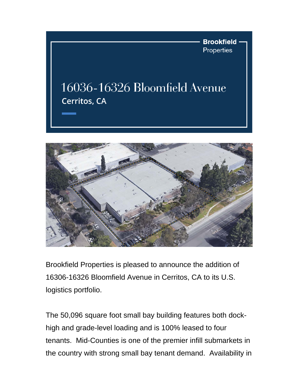**Brookfield Properties** 

## 16036-16326 Bloomfield Avenue Cerritos, CA



Brookfield Properties is pleased to announce the addition of 16306-16326 Bloomfield Avenue in Cerritos, CA to its U.S. logistics portfolio.

The 50,096 square foot small bay building features both dockhigh and grade-level loading and is 100% leased to four tenants. Mid-Counties is one of the premier infill submarkets in the country with strong small bay tenant demand. Availability in